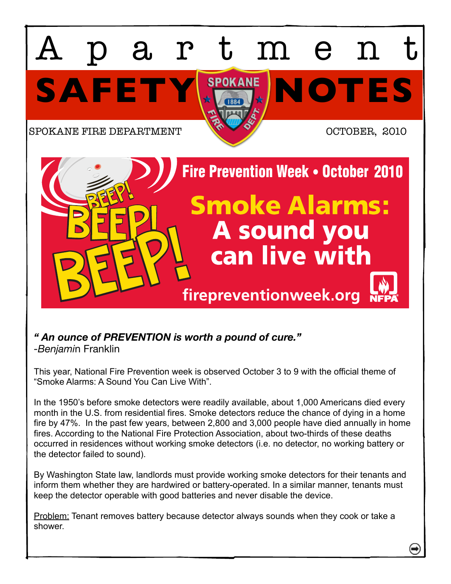

## *" An ounce of PREVENTION is worth a pound of cure."*

*-Benjami*n Franklin

This year, National Fire Prevention week is observed October 3 to 9 with the official theme of "Smoke Alarms: A Sound You Can Live With".

In the 1950's before smoke detectors were readily available, about 1,000 Americans died every month in the U.S. from residential fires. Smoke detectors reduce the chance of dying in a home fire by 47%. In the past few years, between 2,800 and 3,000 people have died annually in home fires. According to the National Fire Protection Association, about two-thirds of these deaths occurred in residences without working smoke detectors (i.e. no detector, no working battery or the detector failed to sound).

By Washington State law, landlords must provide working smoke detectors for their tenants and inform them whether they are hardwired or battery-operated. In a similar manner, tenants must keep the detector operable with good batteries and never disable the device.

Problem: Tenant removes battery because detector always sounds when they cook or take a shower.